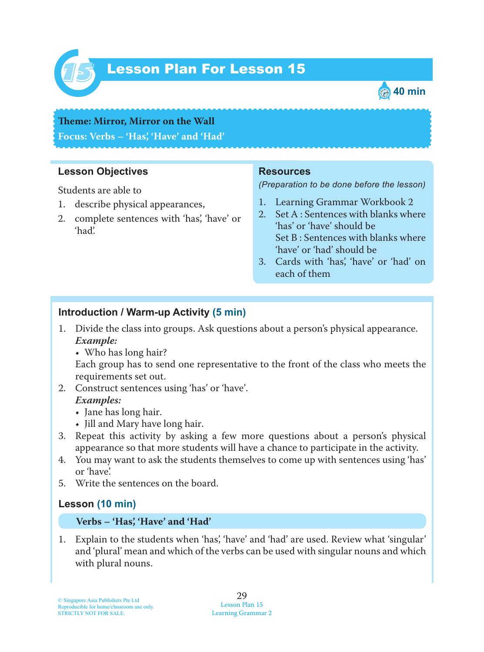

# Lesson Plan For Lesson 15 *15*



# **Teme : Mirror, Mirror on the Wall Focus: Verbs – 'Has', 'Have' and 'Had'**

#### **Lesson Objectives**

Students are able to

- 1. describe physical appearances,
- 2. complete sentences with 'has', 'have' or 'had'.

#### **Resources**

*(Preparation to be done before the lesson)*

- 1. Learning Grammar Workbook 2
- 2. Set A : Sentences with blanks where 'has' or 'have' should be Set B : Sentences with blanks where 'have' or 'had' should be
- 3. Cards with 'has', 'have' or 'had' on each of them

#### **Introduction / Warm-up Activity (5 min)**

- 1. Divide the class into groups. Ask questions about a person's physical appearance.  *Example:*
	- Who has long hair?

Each group has to send one representative to the front of the class who meets the requirements set out.

- 2. Construct sentences using 'has' or 'have'.  *Examples:*
	- Jane has long hair.
	- Jill and Mary have long hair.
- 3. Repeat this activity by asking a few more questions about a person's physical appearance so that more students will have a chance to participate in the activity.
- 4. You may want to ask the students themselves to come up with sentences using 'has' or 'have'.
- 5. Write the sentences on the board.

### **Lesson (10 min)**

#### **Verbs – 'Has', 'Have' and 'Had'**

1. Explain to the students when 'has', 'have' and 'had' are used. Review what 'singular' and 'plural' mean and which of the verbs can be used with singular nouns and which with plural nouns.